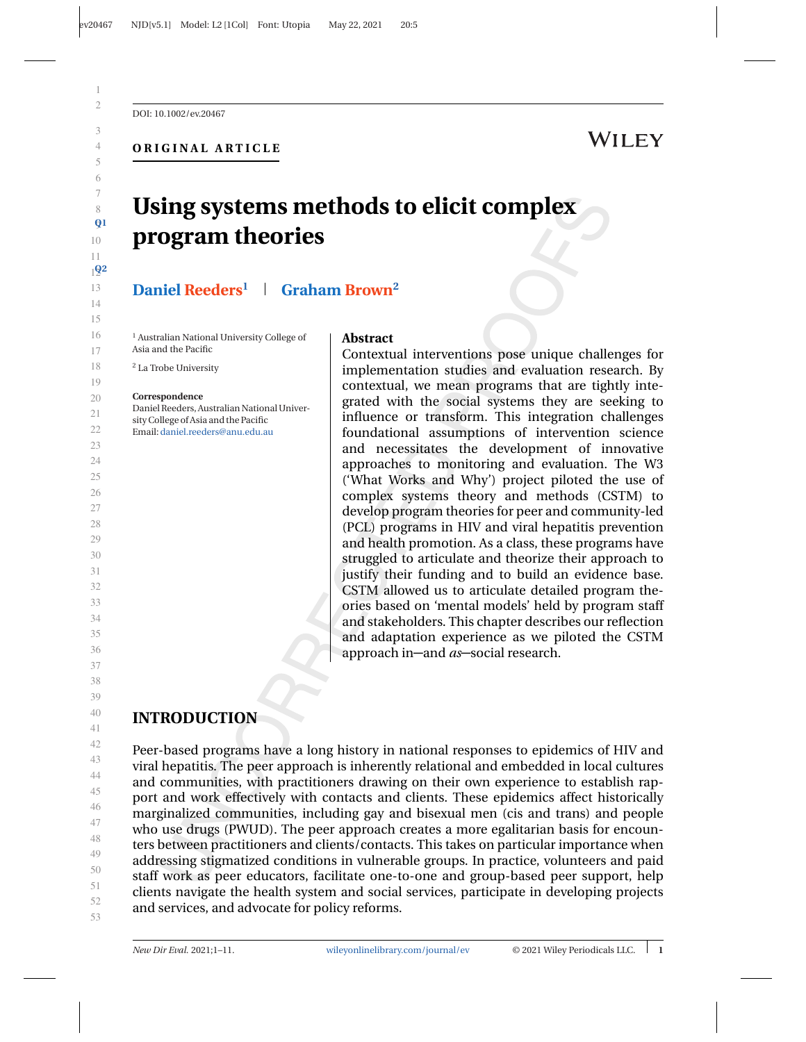DOI: 10.1002/ev.20467

**ORIGINAL ARTICLE**

# WILEY

# **Using systems methods to elicit complex program** theories

**Daniel Reeders1 Graham Brown2**

<sup>1</sup> Australian National University College of

Asia and the Pacific

<sup>2</sup> La Trobe University

#### **Correspondence**

Daniel Reeders, Australian National University College of Asia and the Pacific

22 Email:[daniel.reeders@anu.edu.au](mailto:daniel.reeders@anu.edu.au)

#### **Abstract**

Contextual interventions pose unique challenges for implementation studies and evaluation research. By contextual, we mean programs that are tightly integrated with the social systems they are seeking to influence or transform. This integration challenges foundational assumptions of intervention science and necessitates the development of innovative approaches to monitoring and evaluation. The W3 ('What Works and Why') project piloted the use of complex systems theory and methods (CSTM) to develop program theories for peer and community-led (PCL) programs in HIV and viral hepatitis prevention and health promotion. As a class, these programs have struggled to articulate and theorize their approach to justify their funding and to build an evidence base. CSTM allowed us to articulate detailed program theories based on 'mental models' held by program staff<br>and stakeholders. This chapter describes our reflection<br>and adaptation experience as we piloted the CSTM<br>approach in—and *as*—social research. and stakeholders. This chapter describes our reflection and adaptation experience as we piloted the CSTM

# **INTRODUCTION**

42 43 44 45 46 47 48 49 50 51 52 53 Peer-based programs have a long history in national responses to epidemics of HIV and viral hepatitis. The peer approach is inherently relational and embedded in local cultures and communities, with practitioners drawing on their own experience to establish rapport and work effectively with contacts and clients. These epidemics affect historically marginalized communities, including gay and bisexual men (cis and trans) and people who use drugs (PWUD). The peer approach creates a more egalitarian basis for encounters between practitioners and clients/contacts. This takes on particular importance when addressing stigmatized conditions in vulnerable groups. In practice, volunteers and paid staff work as peer educators, facilitate one-to-one and group-based peer support, help clients navigate the health system and social services, participate in developing projects and services, and advocate for policy reforms.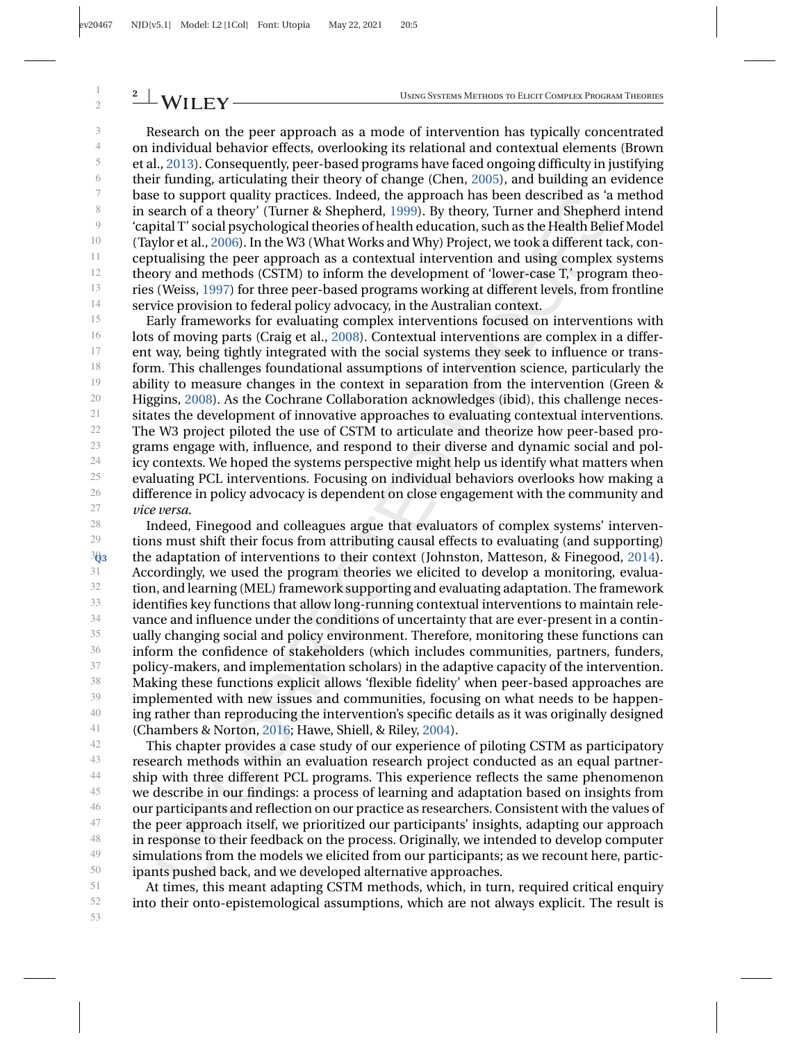7

11

3 4 5 6 8 9 10 12 13 14 Research on the peer approach as a mode of intervention has typically concentrated on individual behavior effects, overlooking its relational and contextual elements (Brown et al., [2013\)](#page-9-0). Consequently, peer-based programs have faced ongoing difficulty in justifying their funding, articulating their theory of change (Chen, [2005\)](#page-9-0), and building an evidence base to support quality practices. Indeed, the approach has been described as 'a method in search of a theory' (Turner & Shepherd, [1999\)](#page-10-0). By theory, Turner and Shepherd intend 'capital T' social psychological theories of health education, such as the Health Belief Model (Taylor et al., [2006\)](#page-10-0). In the W3 (What Works and Why) Project, we took a different tack, conceptualising the peer approach as a contextual intervention and using complex systems theory and methods (CSTM) to inform the development of 'lower-case T,' program theories (Weiss, [1997\)](#page-10-0) for three peer-based programs working at different levels, from frontline service provision to federal policy advocacy, in the Australian context.

15 16 17 18 19 20 21 22 23 24 25 26 27 Early frameworks for evaluating complex interventions focused on interventions with lots of moving parts (Craig et al., [2008\)](#page-9-0). Contextual interventions are complex in a different way, being tightly integrated with the social systems they seek to influence or transform. This challenges foundational assumptions of intervention science, particularly the ability to measure changes in the context in separation from the intervention (Green & Higgins, [2008\)](#page-9-0). As the Cochrane Collaboration acknowledges (ibid), this challenge necessitates the development of innovative approaches to evaluating contextual interventions. The W3 project piloted the use of CSTM to articulate and theorize how peer-based programs engage with, influence, and respond to their diverse and dynamic social and policy contexts. We hoped the systems perspective might help us identify what matters when evaluating PCL interventions. Focusing on individual behaviors overlooks how making a difference in policy advocacy is dependent on close engagement with the community and *vice versa*.

28 29 303 31 32 33 34 35 36 37 38 39 40 41 Indeed, Finegood and colleagues argue that evaluators of complex systems' interventions must shift their focus from attributing causal effects to evaluating (and supporting) **[Q3](#page--1-0)** the adaptation of interventions to their context (Johnston, Matteson, & Finegood, [2014\)](#page-10-0). Accordingly, we used the program theories we elicited to develop a monitoring, evaluation, and learning (MEL) framework supporting and evaluating adaptation. The framework identifies key functions that allow long-running contextual interventions to maintain relevance and influence under the conditions of uncertainty that are ever-present in a continually changing social and policy environment. Therefore, monitoring these functions can inform the confidence of stakeholders (which includes communities, partners, funders, policy-makers, and implementation scholars) in the adaptive capacity of the intervention. Making these functions explicit allows 'flexible fidelity' when peer-based approaches are implemented with new issues and communities, focusing on what needs to be happening rather than reproducing the intervention's specific details as it was originally designed (Chambers & Norton, [2016;](#page-9-0) Hawe, Shiell, & Riley, [2004\)](#page-10-0).

42 43 44 45 46 47 48 49 50 This chapter provides a case study of our experience of piloting CSTM as participatory research methods within an evaluation research project conducted as an equal partnership with three different PCL programs. This experience reflects the same phenomenon we describe in our findings: a process of learning and adaptation based on insights from our participants and reflection on our practice as researchers. Consistent with the values of the peer approach itself, we prioritized our participants' insights, adapting our approach in response to their feedback on the process. Originally, we intended to develop computer simulations from the models we elicited from our participants; as we recount here, participants pushed back, and we developed alternative approaches.

51 52 At times, this meant adapting CSTM methods, which, in turn, required critical enquiry into their onto-epistemological assumptions, which are not always explicit. The result is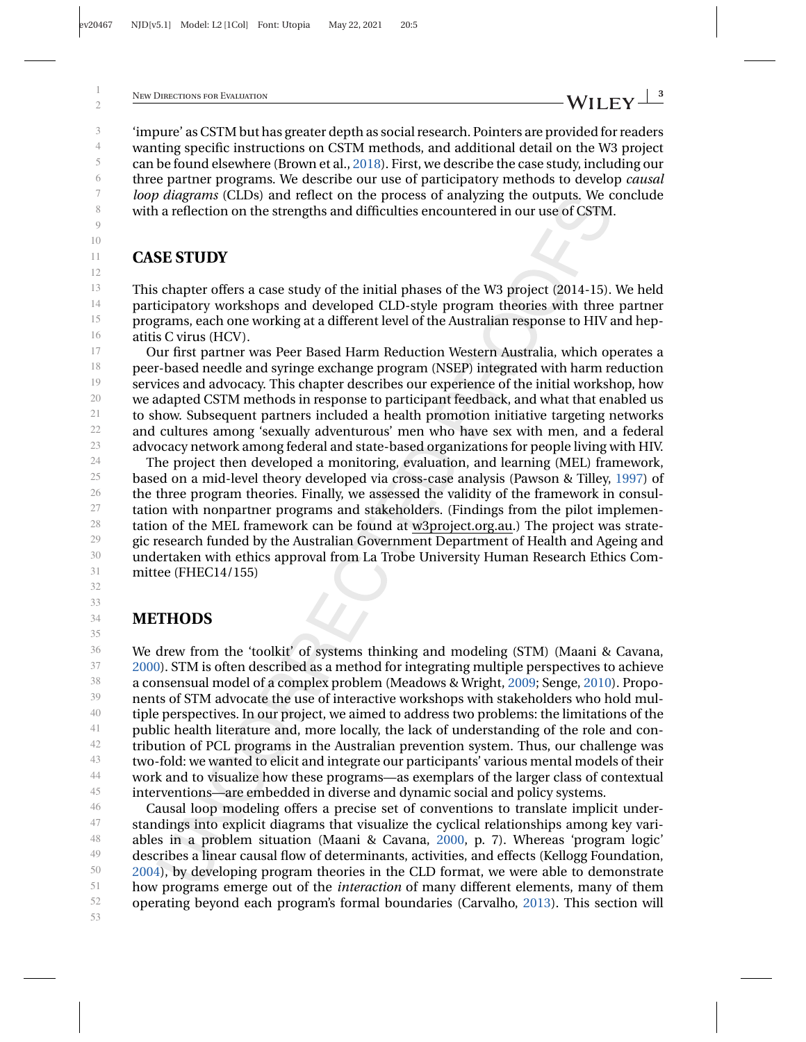'impure' as CSTM but has greater depth as social research. Pointers are provided for readers wanting specific instructions on CSTM methods, and additional detail on the W3 project can be found elsewhere (Brown et al., [2018\)](#page-9-0). First, we describe the case study, including our three partner programs. We describe our use of participatory methods to develop *causal loop diagrams* (CLDs) and reflect on the process of analyzing the outputs. We conclude with a reflection on the strengths and difficulties encountered in our use of CSTM.

# **CASE STUDY**

13 14 15 16 This chapter offers a case study of the initial phases of the W3 project (2014-15). We held participatory workshops and developed CLD-style program theories with three partner programs, each one working at a different level of the Australian response to HIV and hepatitis C virus (HCV).

17 18 19 20 21 22 23 Our first partner was Peer Based Harm Reduction Western Australia, which operates a peer-based needle and syringe exchange program (NSEP) integrated with harm reduction services and advocacy. This chapter describes our experience of the initial workshop, how we adapted CSTM methods in response to participant feedback, and what that enabled us to show. Subsequent partners included a health promotion initiative targeting networks and cultures among 'sexually adventurous' men who have sex with men, and a federal advocacy network among federal and state-based organizations for people living with HIV.

24 25 26 27 28 29 30 31 The project then developed a monitoring, evaluation, and learning (MEL) framework, based on a mid-level theory developed via cross-case analysis (Pawson & Tilley, [1997\)](#page-10-0) of the three program theories. Finally, we assessed the validity of the framework in consultation with nonpartner programs and stakeholders. (Findings from the pilot implementation of the MEL framework can be found at w3project.org.au.) The project was strategic research funded by the Australian Government Department of Health and Ageing and undertaken with ethics approval from La Trobe University Human Research Ethics Committee (FHEC14/155)

32 33 34

35

#### **METHODS**

36 37 38 39 40 41 42 43 44 45 We drew from the 'toolkit' of systems thinking and modeling (STM) (Maani & Cavana, [2000\)](#page-10-0). STM is often described as a method for integrating multiple perspectives to achieve a consensual model of a complex problem (Meadows & Wright, [2009;](#page-10-0) Senge, [2010\)](#page-10-0). Proponents of STM advocate the use of interactive workshops with stakeholders who hold multiple perspectives. In our project, we aimed to address two problems: the limitations of the public health literature and, more locally, the lack of understanding of the role and contribution of PCL programs in the Australian prevention system. Thus, our challenge was two-fold: we wanted to elicit and integrate our participants' various mental models of their work and to visualize how these programs—as exemplars of the larger class of contextual interventions—are embedded in diverse and dynamic social and policy systems.

46 47 48 49 50 51 52 53 Causal loop modeling offers a precise set of conventions to translate implicit understandings into explicit diagrams that visualize the cyclical relationships among key variables in a problem situation (Maani & Cavana, [2000,](#page-10-0) p. 7). Whereas 'program logic' describes a linear causal flow of determinants, activities, and effects (Kellogg Foundation, [2004\)](#page-10-0), by developing program theories in the CLD format, we were able to demonstrate how programs emerge out of the *interaction* of many different elements, many of them operating beyond each program's formal boundaries (Carvalho, [2013\)](#page-9-0). This section will

2 3

1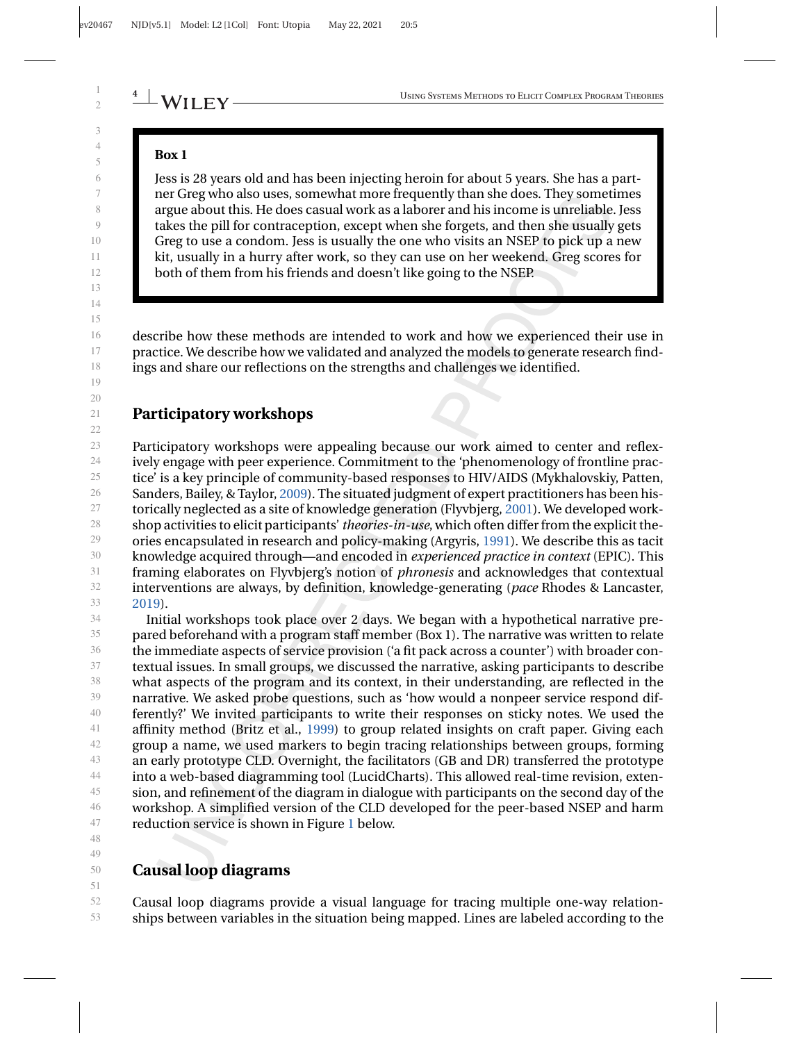#### **Box 1**

**Participatory workshops**

Jess is 28 years old and has been injecting heroin for about 5 years. She has a partner Greg who also uses, somewhat more frequently than she does. They sometimes argue about this. He does casual work as a laborer and his income is unreliable. Jess takes the pill for contraception, except when she forgets, and then she usually gets Greg to use a condom. Jess is usually the one who visits an NSEP to pick up a new kit, usually in a hurry after work, so they can use on her weekend. Greg scores for both of them from his friends and doesn't like going to the NSEP.

describe how these methods are intended to work and how we experienced their use in practice. We describe how we validated and analyzed the models to generate research findings and share our reflections on the strengths and challenges we identified.

#### 19 20

#### 21

22

23 24 25 26 27 28 29 30 31 32 33 Participatory workshops were appealing because our work aimed to center and reflexively engage with peer experience. Commitment to the 'phenomenology of frontline practice' is a key principle of community-based responses to HIV/AIDS (Mykhalovskiy, Patten, Sanders, Bailey, & Taylor, [2009\)](#page-10-0). The situated judgment of expert practitioners has been historically neglected as a site of knowledge generation (Flyvbjerg, [2001\)](#page-9-0). We developed workshop activities to elicit participants'*theories-in-use*, which often differ from the explicit theories encapsulated in research and policy-making (Argyris, [1991\)](#page-9-0). We describe this as tacit knowledge acquired through—and encoded in *experienced practice in context* (EPIC). This framing elaborates on Flyvbjerg's notion of *phronesis* and acknowledges that contextual interventions are always, by definition, knowledge-generating (*pace* Rhodes & Lancaster, [2019\)](#page-10-0).

34 35 36 37 38 39 40 41 42 43 44 45 46 47 Initial workshops took place over 2 days. We began with a hypothetical narrative prepared beforehand with a program staff member (Box 1). The narrative was written to relate the immediate aspects of service provision ('a fit pack across a counter') with broader contextual issues. In small groups, we discussed the narrative, asking participants to describe what aspects of the program and its context, in their understanding, are reflected in the narrative. We asked probe questions, such as 'how would a nonpeer service respond differently?' We invited participants to write their responses on sticky notes. We used the affinity method (Britz et al., [1999\)](#page-9-0) to group related insights on craft paper. Giving each group a name, we used markers to begin tracing relationships between groups, forming an early prototype CLD. Overnight, the facilitators (GB and DR) transferred the prototype into a web-based diagramming tool (LucidCharts). This allowed real-time revision, extension, and refinement of the diagram in dialogue with participants on the second day of the workshop. A simplified version of the CLD developed for the peer-based NSEP and harm reduction service is shown in Figure [1](#page-4-0) below.

48 49

#### **Causal loop diagrams**

50 51

52 53 Causal loop diagrams provide a visual language for tracing multiple one-way relationships between variables in the situation being mapped. Lines are labeled according to the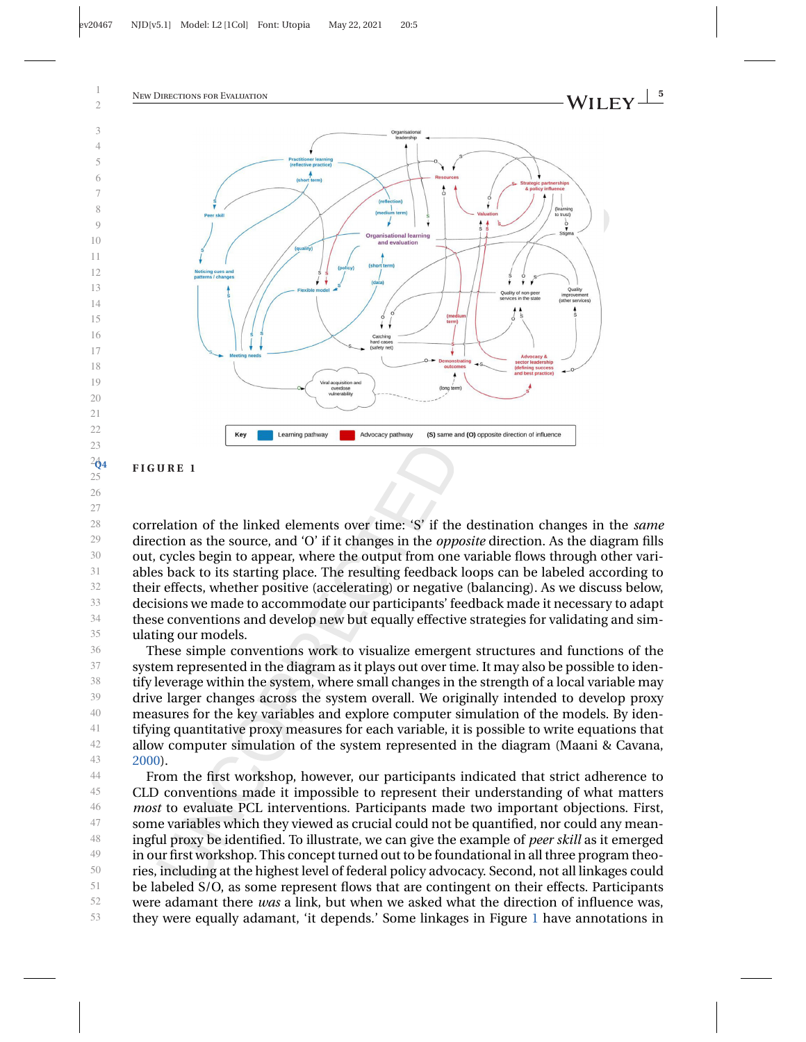<span id="page-4-0"></span>

- 
- 

 correlation of the linked elements over time: 'S' if the destination changes in the *same* direction as the source, and 'O' if it changes in the *opposite* direction. As the diagram fills out, cycles begin to appear, where the output from one variable flows through other variables back to its starting place. The resulting feedback loops can be labeled according to their effects, whether positive (accelerating) or negative (balancing). As we discuss below, decisions we made to accommodate our participants' feedback made it necessary to adapt these conventions and develop new but equally effective strategies for validating and simulating our models.

 These simple conventions work to visualize emergent structures and functions of the system represented in the diagram as it plays out over time. It may also be possible to identify leverage within the system, where small changes in the strength of a local variable may drive larger changes across the system overall. We originally intended to develop proxy measures for the key variables and explore computer simulation of the models. By identifying quantitative proxy measures for each variable, it is possible to write equations that allow computer simulation of the system represented in the diagram (Maani & Cavana, [2000\)](#page-10-0).

 From the first workshop, however, our participants indicated that strict adherence to CLD conventions made it impossible to represent their understanding of what matters *most* to evaluate PCL interventions. Participants made two important objections. First, some variables which they viewed as crucial could not be quantified, nor could any meaningful proxy be identified. To illustrate, we can give the example of *peer skill* as it emerged in our first workshop. This concept turned out to be foundational in all three program theories, including at the highest level of federal policy advocacy. Second, not all linkages could be labeled S/O, as some represent flows that are contingent on their effects. Participants were adamant there *was* a link, but when we asked what the direction of influence was, they were equally adamant, 'it depends.' Some linkages in Figure 1 have annotations in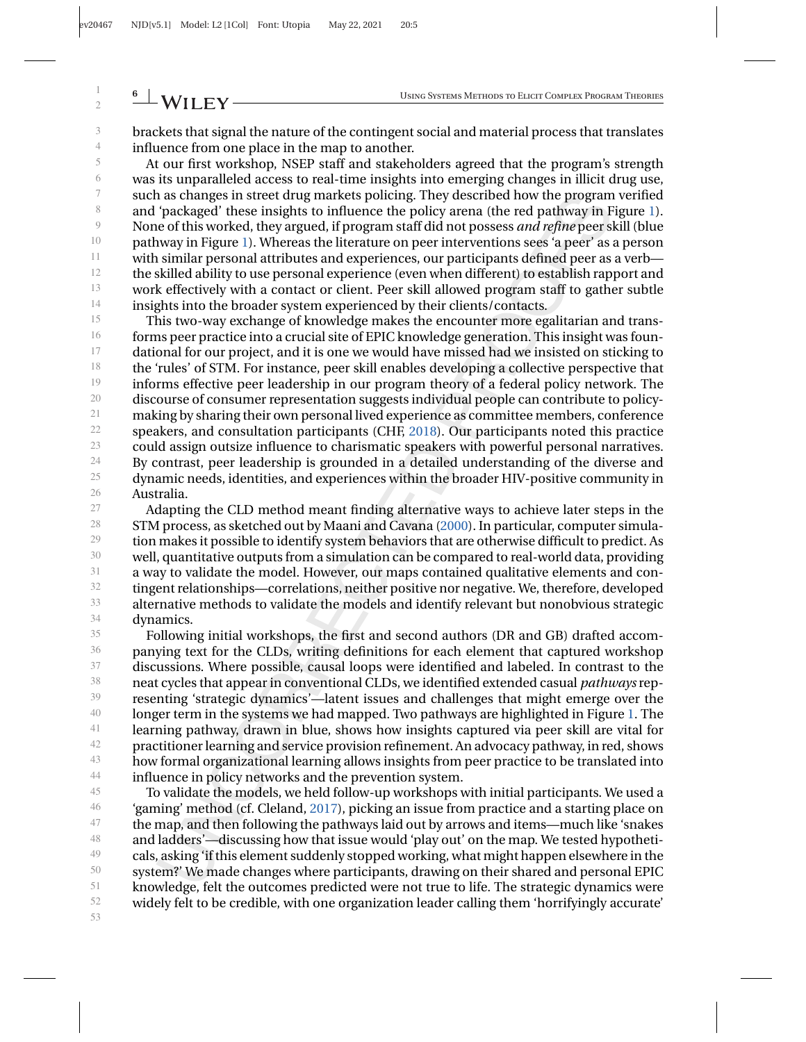3 4 **6** Using Systems Methods to Elicit Complex Program Theories

brackets that signal the nature of the contingent social and material process that translates influence from one place in the map to another.

5 6 7 8 9 10 11 12 13 14 At our first workshop, NSEP staff and stakeholders agreed that the program's strength was its unparalleled access to real-time insights into emerging changes in illicit drug use, such as changes in street drug markets policing. They described how the program verified and 'packaged' these insights to influence the policy arena (the red pathway in Figure [1\)](#page-4-0). None of this worked, they argued, if program staff did not possess *and refine* peer skill (blue pathway in Figure [1\)](#page-4-0). Whereas the literature on peer interventions sees 'a peer' as a person with similar personal attributes and experiences, our participants defined peer as a verb the skilled ability to use personal experience (even when different) to establish rapport and work effectively with a contact or client. Peer skill allowed program staff to gather subtle insights into the broader system experienced by their clients/contacts.

15 16 17 18 19 20 21 22 23 24 25 26 This two-way exchange of knowledge makes the encounter more egalitarian and transforms peer practice into a crucial site of EPIC knowledge generation. This insight was foundational for our project, and it is one we would have missed had we insisted on sticking to the 'rules' of STM. For instance, peer skill enables developing a collective perspective that informs effective peer leadership in our program theory of a federal policy network. The discourse of consumer representation suggests individual people can contribute to policymaking by sharing their own personal lived experience as committee members, conference speakers, and consultation participants (CHF, [2018\)](#page-9-0). Our participants noted this practice could assign outsize influence to charismatic speakers with powerful personal narratives. By contrast, peer leadership is grounded in a detailed understanding of the diverse and dynamic needs, identities, and experiences within the broader HIV-positive community in Australia.

27 28 29 30 31 32 33 34 Adapting the CLD method meant finding alternative ways to achieve later steps in the STM process, as sketched out by Maani and Cavana [\(2000\)](#page-10-0). In particular, computer simulation makes it possible to identify system behaviors that are otherwise difficult to predict. As well, quantitative outputs from a simulation can be compared to real-world data, providing a way to validate the model. However, our maps contained qualitative elements and contingent relationships—correlations, neither positive nor negative. We, therefore, developed alternative methods to validate the models and identify relevant but nonobvious strategic dynamics.

35 36 37 38 39 40 41 42 43 44 Following initial workshops, the first and second authors (DR and GB) drafted accompanying text for the CLDs, writing definitions for each element that captured workshop discussions. Where possible, causal loops were identified and labeled. In contrast to the neat cycles that appear in conventional CLDs, we identified extended casual *pathways* representing 'strategic dynamics'—latent issues and challenges that might emerge over the longer term in the systems we had mapped. Two pathways are highlighted in Figure [1.](#page-4-0) The learning pathway, drawn in blue, shows how insights captured via peer skill are vital for practitioner learning and service provision refinement. An advocacy pathway, in red, shows how formal organizational learning allows insights from peer practice to be translated into influence in policy networks and the prevention system.

45 46 47 48 49 50 51 52 To validate the models, we held follow-up workshops with initial participants. We used a 'gaming' method (cf. Cleland, [2017\)](#page-9-0), picking an issue from practice and a starting place on the map, and then following the pathways laid out by arrows and items—much like 'snakes and ladders'—discussing how that issue would 'play out' on the map. We tested hypotheticals, asking 'if this element suddenly stopped working, what might happen elsewhere in the system?' We made changes where participants, drawing on their shared and personal EPIC knowledge, felt the outcomes predicted were not true to life. The strategic dynamics were widely felt to be credible, with one organization leader calling them 'horrifyingly accurate'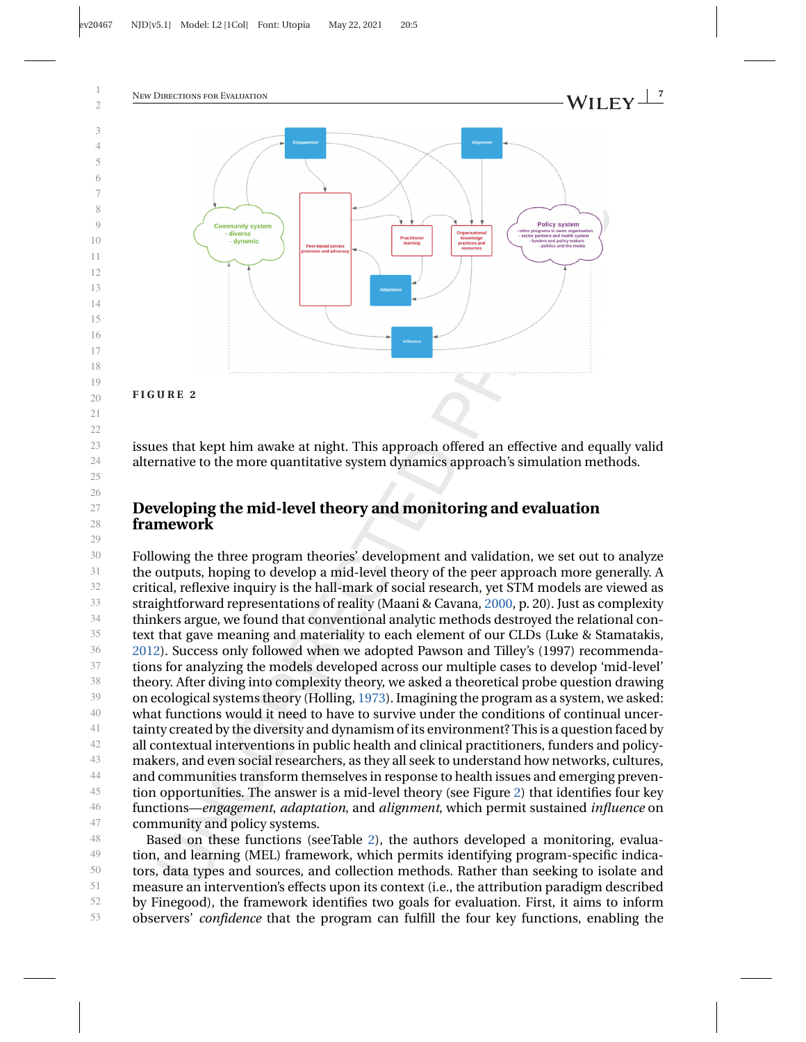

issues that kept him awake at night. This approach offered an effective and equally valid alternative to the more quantitative system dynamics approach's simulation methods.

#### **Developing the mid-level theory and monitoring and evaluation framework**

 Following the three program theories' development and validation, we set out to analyze the outputs, hoping to develop a mid-level theory of the peer approach more generally. A critical, reflexive inquiry is the hall-mark of social research, yet STM models are viewed as straightforward representations of reality (Maani & Cavana, [2000,](#page-10-0) p. 20). Just as complexity thinkers argue, we found that conventional analytic methods destroyed the relational context that gave meaning and materiality to each element of our CLDs (Luke & Stamatakis, [2012\)](#page-10-0). Success only followed when we adopted Pawson and Tilley's (1997) recommendations for analyzing the models developed across our multiple cases to develop 'mid-level' theory. After diving into complexity theory, we asked a theoretical probe question drawing on ecological systems theory (Holling, [1973\)](#page-10-0). Imagining the program as a system, we asked: what functions would it need to have to survive under the conditions of continual uncertainty created by the diversity and dynamism of its environment? This is a question faced by all contextual interventions in public health and clinical practitioners, funders and policymakers, and even social researchers, as they all seek to understand how networks, cultures, and communities transform themselves in response to health issues and emerging prevention opportunities. The answer is a mid-level theory (see Figure 2) that identifies four key functions—*engagement*, *adaptation*, and *alignment*, which permit sustained *influence* on community and policy systems.

 Based on these functions (seeTable [2\)](#page-7-0), the authors developed a monitoring, evaluation, and learning (MEL) framework, which permits identifying program-specific indicators, data types and sources, and collection methods. Rather than seeking to isolate and measure an intervention's effects upon its context (i.e., the attribution paradigm described by Finegood), the framework identifies two goals for evaluation. First, it aims to inform observers' *confidence* that the program can fulfill the four key functions, enabling the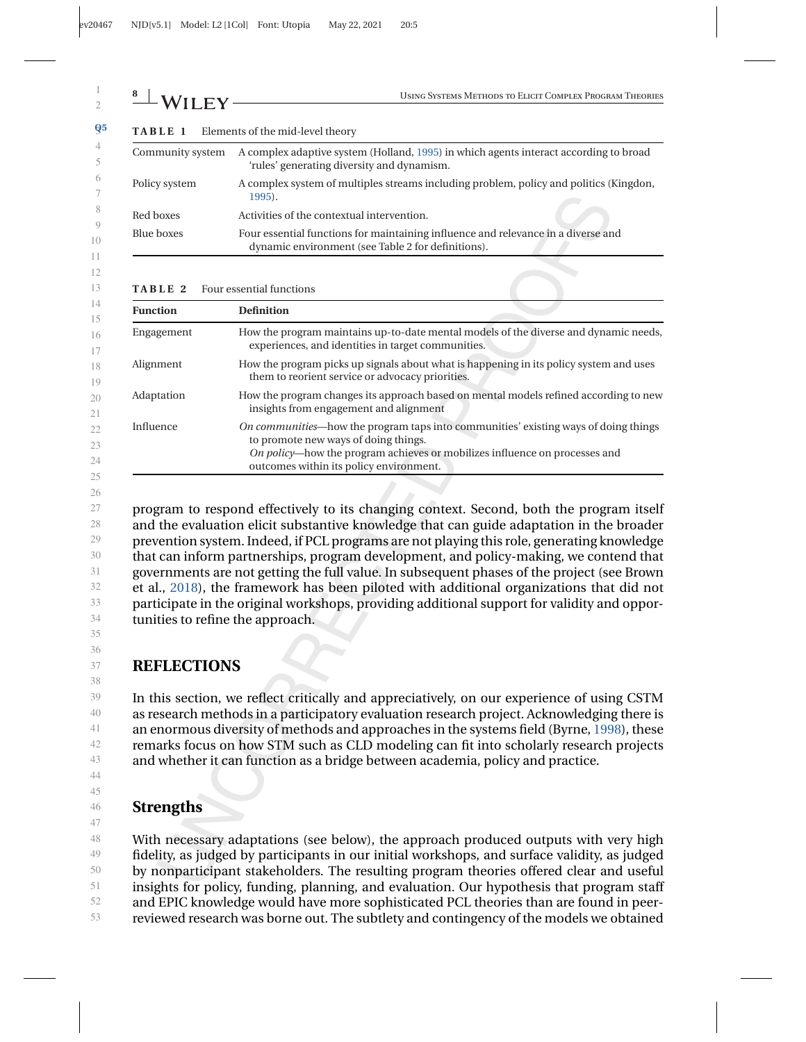<span id="page-7-0"></span>

| $\frac{18}{100}$ WILEY – | USING SYSTEMS METHODS TO ELICIT COMPLEX PROGRAM THEORIES                                                                                   |
|--------------------------|--------------------------------------------------------------------------------------------------------------------------------------------|
| TABLE 1                  | Elements of the mid-level theory                                                                                                           |
| Community system         | A complex adaptive system (Holland, 1995) in which agents interact according to broad<br>'rules' generating diversity and dynamism.        |
| Policy system            | A complex system of multiples streams including problem, policy and politics (Kingdon,<br>1995).                                           |
| Red boxes                | Activities of the contextual intervention.                                                                                                 |
| <b>Blue boxes</b>        | Four essential functions for maintaining influence and relevance in a diverse and<br>dynamic environment (see Table 2 for definitions).    |
| TABLE 2                  | Four essential functions                                                                                                                   |
| <b>Function</b>          | <b>Definition</b>                                                                                                                          |
| Engagement               | How the program maintains up-to-date mental models of the diverse and dynamic needs,<br>experiences, and identities in target communities. |
| Alignment                | How the program picks up signals about what is happening in its policy system and uses<br>them to reorient service or advocacy priorities. |
| Adaptation               | How the program changes its approach based on mental models refined according to new<br>insights from engagement and alignment             |
| Influence                | On communities—how the program taps into communities' existing ways of doing things                                                        |
|                          | to promote new ways of doing things.<br>On policy-how the program achieves or mobilizes influence on processes and                         |

27 28 29 30 31 32 33 34 program to respond effectively to its changing context. Second, both the program itself and the evaluation elicit substantive knowledge that can guide adaptation in the broader prevention system. Indeed, if PCL programs are not playing this role, generating knowledge that can inform partnerships, program development, and policy-making, we contend that governments are not getting the full value. In subsequent phases of the project (see Brown et al., [2018\)](#page-9-0), the framework has been piloted with additional organizations that did not participate in the original workshops, providing additional support for validity and opportunities to refine the approach.

35 36

26

#### **REFLECTIONS**

In this section, we reflect critically and appreciatively, on our experience of using CSTM as research methods in a participatory evaluation research project. Acknowledging there is an enormous diversity of methods and approaches in the systems field (Byrne, [1998\)](#page-9-0), these remarks focus on how STM such as CLD modeling can fit into scholarly research projects and whether it can function as a bridge between academia, policy and practice.

- 43 44
- 45 46

47

# **Strengths**

48 49 50 51 52 53 With necessary adaptations (see below), the approach produced outputs with very high fidelity, as judged by participants in our initial workshops, and surface validity, as judged by nonparticipant stakeholders. The resulting program theories offered clear and useful insights for policy, funding, planning, and evaluation. Our hypothesis that program staff and EPIC knowledge would have more sophisticated PCL theories than are found in peerreviewed research was borne out. The subtlety and contingency of the models we obtained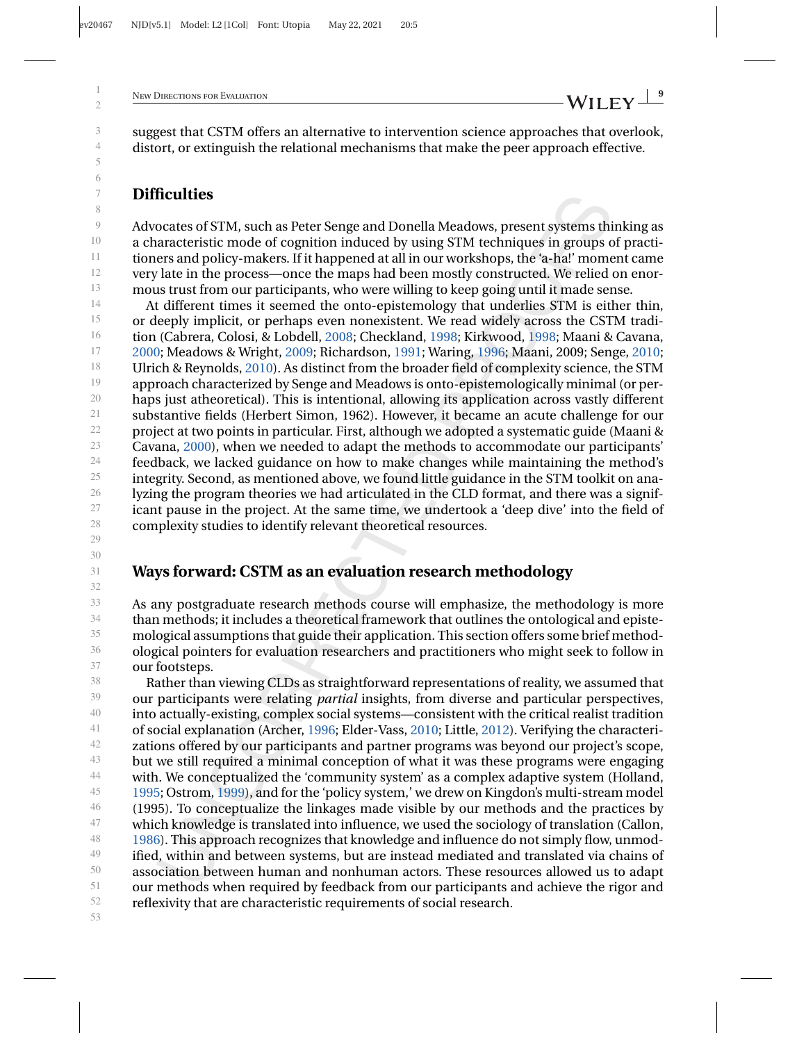suggest that CSTM offers an alternative to intervention science approaches that overlook, distort, or extinguish the relational mechanisms that make the peer approach effective.

#### **Difficulties**

Advocates of STM, such as Peter Senge and Donella Meadows, present systems thinking as a characteristic mode of cognition induced by using STM techniques in groups of practitioners and policy-makers. If it happened at all in our workshops, the 'a-ha!' moment came very late in the process—once the maps had been mostly constructed. We relied on enormous trust from our participants, who were willing to keep going until it made sense.

14 15 16 17 18 19 20 21 22 23 24 25 26 27 28 At different times it seemed the onto-epistemology that underlies STM is either thin, or deeply implicit, or perhaps even nonexistent. We read widely across the CSTM tradition (Cabrera, Colosi, & Lobdell, [2008;](#page-9-0) Checkland, [1998;](#page-9-0) Kirkwood, [1998;](#page-10-0) Maani & Cavana, [2000;](#page-10-0) Meadows & Wright, [2009;](#page-10-0) Richardson, [1991;](#page-10-0) Waring, [1996;](#page-10-0) Maani, 2009; Senge, [2010;](#page-10-0) Ulrich & Reynolds, [2010\)](#page-10-0). As distinct from the broader field of complexity science, the STM approach characterized by Senge and Meadows is onto-epistemologically minimal (or perhaps just atheoretical). This is intentional, allowing its application across vastly different substantive fields (Herbert Simon, 1962). However, it became an acute challenge for our project at two points in particular. First, although we adopted a systematic guide (Maani & Cavana, [2000\)](#page-10-0), when we needed to adapt the methods to accommodate our participants' feedback, we lacked guidance on how to make changes while maintaining the method's integrity. Second, as mentioned above, we found little guidance in the STM toolkit on analyzing the program theories we had articulated in the CLD format, and there was a significant pause in the project. At the same time, we undertook a 'deep dive' into the field of complexity studies to identify relevant theoretical resources.

29 30 31

32

### **Ways forward: CSTM as an evaluation research methodology**

33 34 35 36 37 As any postgraduate research methods course will emphasize, the methodology is more than methods; it includes a theoretical framework that outlines the ontological and epistemological assumptions that guide their application. This section offers some brief methodological pointers for evaluation researchers and practitioners who might seek to follow in our footsteps.

38 39 40 41 42 43 44 45 46 47 48 49 50 51 52 Rather than viewing CLDs as straightforward representations of reality, we assumed that our participants were relating *partial* insights, from diverse and particular perspectives, into actually-existing, complex social systems—consistent with the critical realist tradition of social explanation (Archer, [1996;](#page-9-0) Elder-Vass, [2010;](#page-9-0) Little, [2012\)](#page-10-0). Verifying the characterizations offered by our participants and partner programs was beyond our project's scope, but we still required a minimal conception of what it was these programs were engaging with. We conceptualized the 'community system' as a complex adaptive system (Holland, [1995;](#page-10-0) Ostrom, [1999\)](#page-10-0), and for the 'policy system,' we drew on Kingdon's multi-stream model (1995). To conceptualize the linkages made visible by our methods and the practices by which knowledge is translated into influence, we used the sociology of translation (Callon, [1986\)](#page-9-0). This approach recognizes that knowledge and influence do not simply flow, unmodified, within and between systems, but are instead mediated and translated via chains of association between human and nonhuman actors. These resources allowed us to adapt our methods when required by feedback from our participants and achieve the rigor and reflexivity that are characteristic requirements of social research.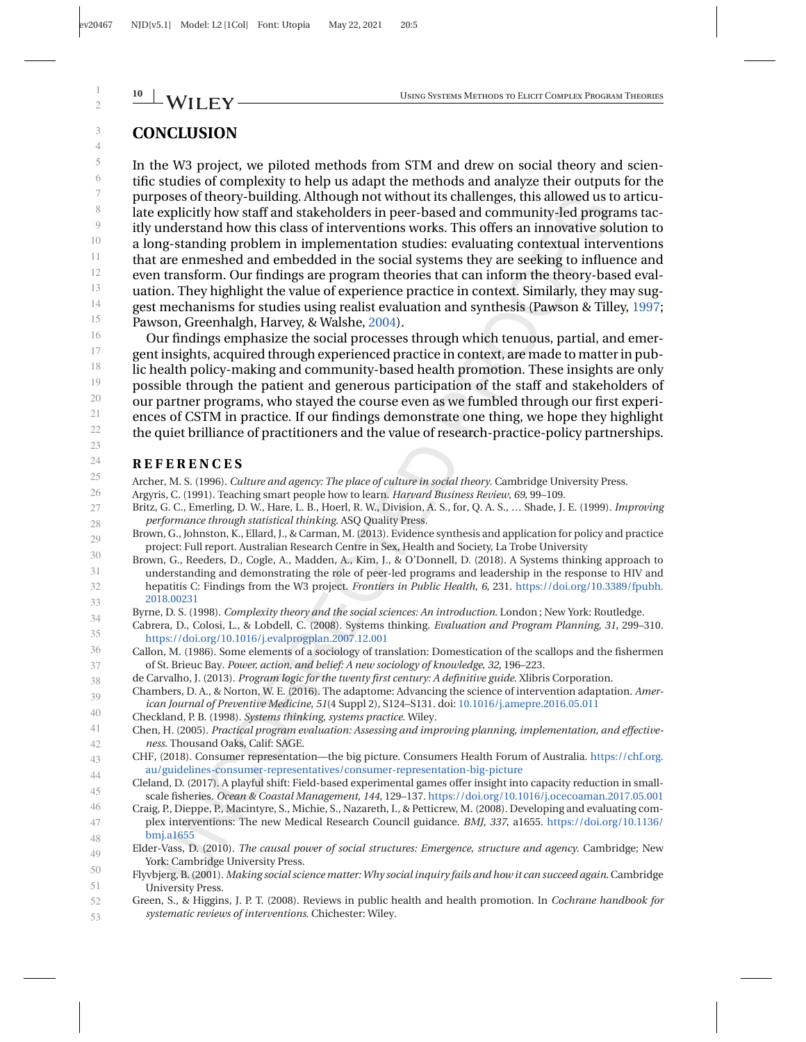7

23 24

35

### <span id="page-9-0"></span>**CONCLUSION**

5 6 8 9 10 11 12 13 14 15 In the W3 project, we piloted methods from STM and drew on social theory and scientific studies of complexity to help us adapt the methods and analyze their outputs for the purposes of theory-building. Although not without its challenges, this allowed us to articulate explicitly how staff and stakeholders in peer-based and community-led programs tacitly understand how this class of interventions works. This offers an innovative solution to a long-standing problem in implementation studies: evaluating contextual interventions that are enmeshed and embedded in the social systems they are seeking to influence and even transform. Our findings are program theories that can inform the theory-based evaluation. They highlight the value of experience practice in context. Similarly, they may suggest mechanisms for studies using realist evaluation and synthesis (Pawson & Tilley, [1997;](#page-10-0) Pawson, Greenhalgh, Harvey, & Walshe, [2004\)](#page-10-0).

16 17 18 19 20 21 22 Our findings emphasize the social processes through which tenuous, partial, and emergent insights, acquired through experienced practice in context, are made to matter in public health policy-making and community-based health promotion. These insights are only possible through the patient and generous participation of the staff and stakeholders of our partner programs, who stayed the course even as we fumbled through our first experiences of CSTM in practice. If our findings demonstrate one thing, we hope they highlight the quiet brilliance of practitioners and the value of research-practice-policy partnerships.

#### **REFERENCES**

25 Archer, M. S. (1996). *Culture and agency: The place of culture in social theory*. Cambridge University Press.

- 26 Argyris, C. (1991). Teaching smart people how to learn. *Harvard Business Review*, *69*, 99–109.
- 27 28 Britz, G. C., Emerling, D. W., Hare, L. B., Hoerl, R. W., Division, A. S., for, Q. A. S., … Shade, J. E. (1999). *Improving performance through statistical thinking*. ASQ Quality Press.
- 29 Brown, G., Johnston, K., Ellard, J., & Carman, M. (2013). Evidence synthesis and application for policy and practice project: Full report. Australian Research Centre in Sex, Health and Society, La Trobe University
- 30 31 32 33 Brown, G., Reeders, D., Cogle, A., Madden, A., Kim, J., & O'Donnell, D. (2018). A Systems thinking approach to understanding and demonstrating the role of peer-led programs and leadership in the response to HIV and hepatitis C: Findings from the W3 project. *Frontiers in Public Health*, *6*, 231. [https://doi.org/10.3389/fpubh.](https://doi.org/10.3389/fpubh.2018.00231) [2018.00231](https://doi.org/10.3389/fpubh.2018.00231)
- 34 Byrne, D. S. (1998). *Complexity theory and the social sciences: An introduction*. London ; New York: Routledge.
	- Cabrera, D., Colosi, L., & Lobdell, C. (2008). Systems thinking. *Evaluation and Program Planning*, *31*, 299–310. <https://doi.org/10.1016/j.evalprogplan.2007.12.001>
- 36 37 Callon, M. (1986). Some elements of a sociology of translation: Domestication of the scallops and the fishermen of St. Brieuc Bay. *Power, action, and belief: A new sociology of knowledge*, *32*, 196–223.
- 38 de Carvalho, J. (2013). *Program logic for the twenty first century: A definitive guide*. Xlibris Corporation.
- 39 Chambers, D. A., & Norton, W. E. (2016). The adaptome: Advancing the science of intervention adaptation. *American Journal of Preventive Medicine*, *51*(4 Suppl 2), S124–S131. doi: [10.1016/j.amepre.2016.05.011](https://doi.org/10.1016/j.amepre.2016.05.011)
- 40 Checkland, P. B. (1998). *Systems thinking, systems practice*. Wiley.
- 41 42 Chen, H. (2005). *Practical program evaluation: Assessing and improving planning, implementation, and effectiveness*. Thousand Oaks, Calif: SAGE.
- 43 44 CHF, (2018). Consumer representation—the big picture. Consumers Health Forum of Australia. [https://chf.org.](https://chf.org.au/guidelines-consumer-representatives/consumer-representation-big-picture) [au/guidelines-consumer-representatives/consumer-representation-big-picture](https://chf.org.au/guidelines-consumer-representatives/consumer-representation-big-picture)
- 45 Cleland, D. (2017). A playful shift: Field-based experimental games offer insight into capacity reduction in smallscale fisheries. *Ocean & Coastal Management*, *144*, 129–137. <https://doi.org/10.1016/j.ocecoaman.2017.05.001>
- 46 47 48 Craig, P., Dieppe, P., Macintyre, S., Michie, S., Nazareth, I., & Petticrew, M. (2008). Developing and evaluating complex interventions: The new Medical Research Council guidance. *BMJ*, *337*, a1655. [https://doi.org/10.1136/](https://doi.org/10.1136/bmj.a1655) [bmj.a1655](https://doi.org/10.1136/bmj.a1655)
- 49 Elder-Vass, D. (2010). *The causal power of social structures: Emergence, structure and agency*. Cambridge; New York: Cambridge University Press.
- 50 51 Flyvbjerg, B. (2001). *Making social science matter: Why social inquiry fails and how it can succeed again*. Cambridge University Press.
- 52 53 Green, S., & Higgins, J. P. T. (2008). Reviews in public health and health promotion. In *Cochrane handbook for systematic reviews of interventions*. Chichester: Wiley.